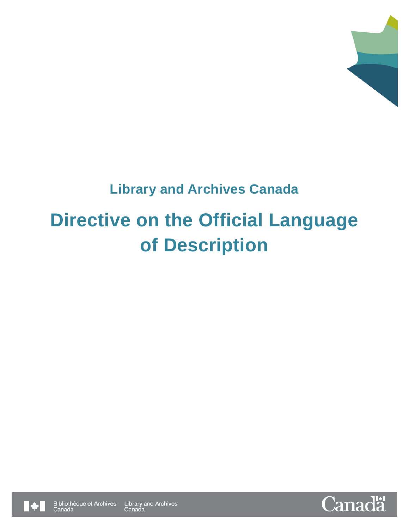

## **Library and Archives Canada**

# **Directive on the Official Language of Description**



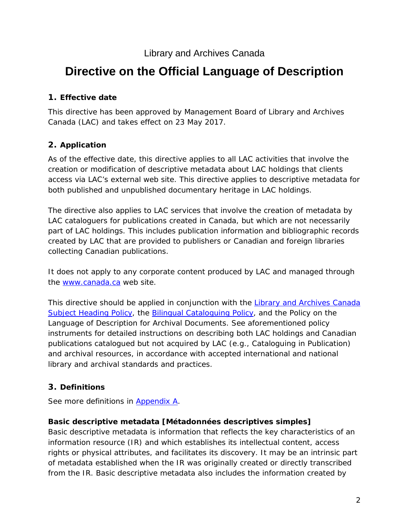#### Library and Archives Canada

### **Directive on the Official Language of Description**

#### **1. Effective date**

This directive has been approved by Management Board of Library and Archives Canada (LAC) and takes effect on 23 May 2017.

#### **2. Application**

As of the effective date, this directive applies to all LAC activities that involve the creation or modification of descriptive metadata about LAC holdings that clients access via LAC's external web site. This directive applies to descriptive metadata for both published and unpublished documentary heritage in LAC holdings.

The directive also applies to LAC services that involve the creation of metadata by LAC cataloguers for publications created in Canada, but which are not necessarily part of LAC holdings. This includes publication information and bibliographic records created by LAC that are provided to publishers or Canadian and foreign libraries collecting Canadian publications.

It does not apply to any corporate content produced by LAC and managed through the [www.canada.ca](http://www.canada.ca/) web site.

This directive should be applied in conjunction with the *[Library and Archives Canada](http://www.bac-lac.gc.ca/eng/services/cataloguing-metadata/Pages/lac-subject-heading-policy.aspx)  [Subject Heading Policy](http://www.bac-lac.gc.ca/eng/services/cataloguing-metadata/Pages/lac-subject-heading-policy.aspx)*, the *[Bilingual Cataloguing Policy](http://www.bac-lac.gc.ca/eng/services/cataloguing-metadata/Pages/bilingual-cataloguing-policy.aspx)*, and the *Policy on the Language of Description for Archival Documents*. See aforementioned policy instruments for detailed instructions on describing both LAC holdings and Canadian publications catalogued but not acquired by LAC (e.g., Cataloguing in Publication) and archival resources, in accordance with accepted international and national library and archival standards and practices.

#### <span id="page-1-0"></span>**3. Definitions**

See more definitions in [Appendix A.](#page-8-0)

#### **Basic descriptive metadata** *[Métadonnées descriptives simples]*

Basic descriptive metadata is information that reflects the key characteristics of an information resource (IR) and which establishes its intellectual content, access rights or physical attributes, and facilitates its discovery. It may be an intrinsic part of metadata established when the IR was originally created or directly transcribed from the IR. Basic descriptive metadata also includes the information created by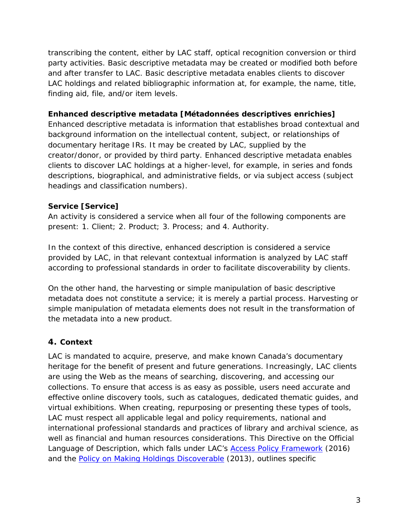transcribing the content, either by LAC staff, optical recognition conversion or third party activities. Basic descriptive metadata may be created or modified both before and after transfer to LAC. Basic descriptive metadata enables clients to discover LAC holdings and related bibliographic information at, for example, the name, title, finding aid, file, and/or item levels.

#### **Enhanced descriptive metadata** *[Métadonnées descriptives enrichies]*

Enhanced descriptive metadata is information that establishes broad contextual and background information on the intellectual content, subject, or relationships of documentary heritage IRs. It may be created by LAC, supplied by the creator/donor, or provided by third party. Enhanced descriptive metadata enables clients to discover LAC holdings at a higher-level, for example, in series and fonds descriptions, biographical, and administrative fields, or via subject access (subject headings and classification numbers).

#### **Service** *[Service]*

An activity is considered a service when all four of the following components are present: 1. Client; 2. Product; 3. Process; and 4. Authority.

In the context of this directive, enhanced description is considered a service provided by LAC, in that relevant contextual information is analyzed by LAC staff according to professional standards in order to facilitate discoverability by clients.

On the other hand, the harvesting or simple manipulation of basic descriptive metadata does not constitute a service; it is merely a partial process. Harvesting or simple manipulation of metadata elements does not result in the transformation of the metadata into a new product.

#### **4. Context**

LAC is mandated to acquire, preserve, and make known Canada's documentary heritage for the benefit of present and future generations. Increasingly, LAC clients are using the Web as the means of searching, discovering, and accessing our collections. To ensure that access is as easy as possible, users need accurate and effective online discovery tools, such as catalogues, dedicated thematic guides, and virtual exhibitions. When creating, repurposing or presenting these types of tools, LAC must respect all applicable legal and policy requirements, national and international professional standards and practices of library and archival science, as well as financial and human resources considerations. This *Directive on the Official Language of Description*, which falls under LAC's *[Access Policy Framework](http://www.bac-lac.gc.ca/eng/about-us/policy/Pages/access-policy.aspx)* (2016) and the *[Policy on Making Holdings Discoverable](http://www.bac-lac.gc.ca/eng/about-us/policy/Pages/policy-making-holdings-discoverable.aspx)* (2013), outlines specific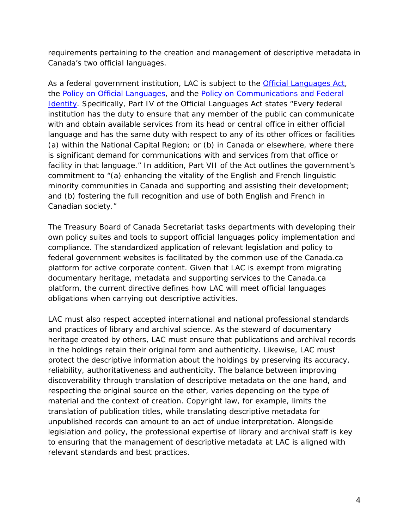requirements pertaining to the creation and management of descriptive metadata in Canada's two official languages.

As a federal government institution, LAC is subject to the *[Official Languages Act](http://laws-lois.justice.gc.ca/eng/acts/o-3.01/)*, the *[Policy on Official Languages](http://www.tbs-sct.gc.ca/pol/doc-eng.aspx?id=26160)*, and the *[Policy on Communications and Federal](https://www.tbs-sct.gc.ca/pol/doc-eng.aspx?id=30683)  [Identity](https://www.tbs-sct.gc.ca/pol/doc-eng.aspx?id=30683)*. Specifically, Part IV of the *Official Languages Act* states "Every federal institution has the duty to ensure that any member of the public can communicate with and obtain available services from its head or central office in either official language and has the same duty with respect to any of its other offices or facilities (*a*) within the National Capital Region; or (*b*) in Canada or elsewhere, where there is significant demand for communications with and services from that office or facility in that language.*"* In addition, Part VII of the *Act* outlines the government's commitment to "(*a*) enhancing the vitality of the English and French linguistic minority communities in Canada and supporting and assisting their development; and (*b*) fostering the full recognition and use of both English and French in Canadian society."

The Treasury Board of Canada Secretariat tasks departments with developing their own policy suites and tools to support official languages policy implementation and compliance. The standardized application of relevant legislation and policy to federal government websites is facilitated by the common use of the Canada.ca platform for active corporate content. Given that LAC is exempt from migrating documentary heritage, metadata and supporting services to the Canada.ca platform, the current directive defines how LAC will meet official languages obligations when carrying out descriptive activities.

LAC must also respect accepted international and national professional standards and practices of library and archival science. As the steward of documentary heritage created by others, LAC must ensure that publications and archival records in the holdings retain their original form and authenticity. Likewise, LAC must protect the descriptive information about the holdings by preserving its accuracy, reliability, authoritativeness and authenticity. The balance between improving discoverability through translation of descriptive metadata on the one hand, and respecting the original source on the other, varies depending on the type of material and the context of creation. Copyright law, for example, limits the translation of publication titles, while translating descriptive metadata for unpublished records can amount to an act of undue interpretation. Alongside legislation and policy, the professional expertise of library and archival staff is key to ensuring that the management of descriptive metadata at LAC is aligned with relevant standards and best practices.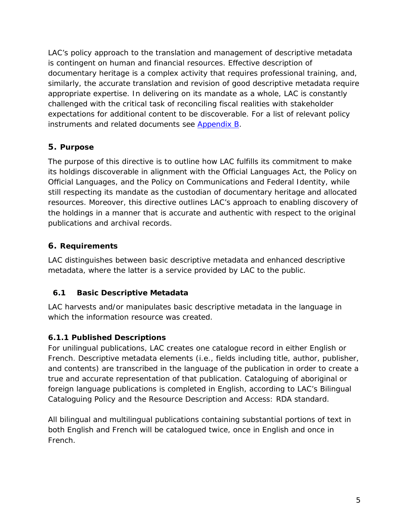LAC's policy approach to the translation and management of descriptive metadata is contingent on human and financial resources. Effective description of documentary heritage is a complex activity that requires professional training, and, similarly, the accurate translation and revision of good descriptive metadata require appropriate expertise. In delivering on its mandate as a whole, LAC is constantly challenged with the critical task of reconciling fiscal realities with stakeholder expectations for additional content to be discoverable. For a list of relevant policy instruments and related documents see [Appendix B.](#page-1-0)

#### **5. Purpose**

The purpose of this directive is to outline how LAC fulfills its commitment to make its holdings discoverable in alignment with the *Official Languages Act*, the *Policy on Official Languages*, and the *Policy on Communications and Federal Identity,* while still respecting its mandate as the custodian of documentary heritage and allocated resources*.* Moreover, this directive outlines LAC's approach to enabling discovery of the holdings in a manner that is accurate and authentic with respect to the original publications and archival records.

#### **6. Requirements**

LAC distinguishes between basic descriptive metadata and enhanced descriptive metadata, where the latter is a service provided by LAC to the public.

#### **6.1 Basic Descriptive Metadata**

LAC harvests and/or manipulates basic descriptive metadata in the language in which the information resource was created.

#### **6.1.1 Published Descriptions**

For unilingual publications, LAC creates one catalogue record in either English or French. Descriptive metadata elements (i.e., fields including title, author, publisher, and contents) are transcribed in the language of the publication in order to create a true and accurate representation of that publication. Cataloguing of aboriginal or foreign language publications is completed in English, according to *LAC's Bilingual Cataloguing Policy* and the *Resource Description and Access: RDA standard*.

All bilingual and multilingual publications containing substantial portions of text in both English and French will be catalogued twice, once in English and once in French.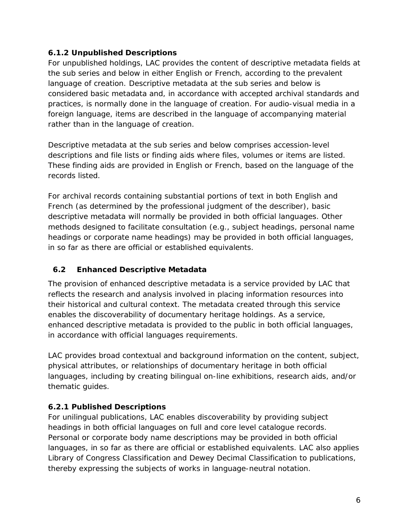#### **6.1.2 Unpublished Descriptions**

For unpublished holdings, LAC provides the content of descriptive metadata fields at the sub series and below in either English or French, according to the prevalent language of creation. Descriptive metadata at the sub series and below is considered basic metadata and, in accordance with accepted archival standards and practices, is normally done in the language of creation. For audio-visual media in a foreign language, items are described in the language of accompanying material rather than in the language of creation.

Descriptive metadata at the sub series and below comprises accession-level descriptions and file lists or finding aids where files, volumes or items are listed. These finding aids are provided in English or French, based on the language of the records listed.

For archival records containing substantial portions of text in both English and French (as determined by the professional judgment of the describer), basic descriptive metadata will normally be provided in both official languages. Other methods designed to facilitate consultation (e.g., subject headings, personal name headings or corporate name headings) may be provided in both official languages, in so far as there are official or established equivalents.

#### **6.2 Enhanced Descriptive Metadata**

The provision of enhanced descriptive metadata is a service provided by LAC that reflects the research and analysis involved in placing information resources into their historical and cultural context. The metadata created through this service enables the discoverability of documentary heritage holdings. As a service, enhanced descriptive metadata is provided to the public in both official languages, in accordance with official languages requirements.

LAC provides broad contextual and background information on the content, subject, physical attributes, or relationships of documentary heritage in both official languages, including by creating bilingual on-line exhibitions, research aids, and/or thematic guides.

#### **6.2.1 Published Descriptions**

For unilingual publications, LAC enables discoverability by providing subject headings in both official languages on full and core level catalogue records. Personal or corporate body name descriptions may be provided in both official languages, in so far as there are official or established equivalents. LAC also applies Library of Congress Classification and Dewey Decimal Classification to publications, thereby expressing the subjects of works in language-neutral notation.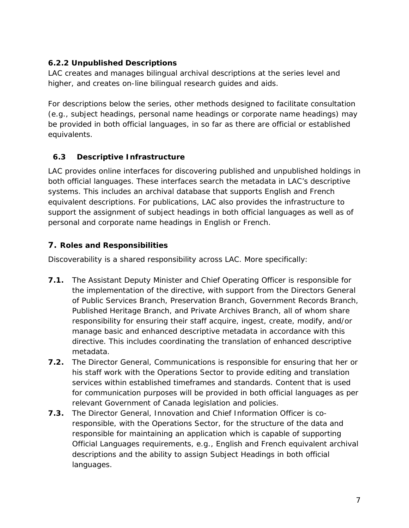#### **6.2.2 Unpublished Descriptions**

LAC creates and manages bilingual archival descriptions at the series level and higher, and creates on-line bilingual research guides and aids.

For descriptions below the series, other methods designed to facilitate consultation (e.g., subject headings, personal name headings or corporate name headings) may be provided in both official languages, in so far as there are official or established equivalents.

#### **6.3 Descriptive Infrastructure**

LAC provides online interfaces for discovering published and unpublished holdings in both official languages. These interfaces search the metadata in LAC's descriptive systems. This includes an archival database that supports English and French equivalent descriptions. For publications, LAC also provides the infrastructure to support the assignment of subject headings in both official languages as well as of personal and corporate name headings in English or French.

#### **7. Roles and Responsibilities**

Discoverability is a shared responsibility across LAC. More specifically:

- **7.1.** The Assistant Deputy Minister and Chief Operating Officer is responsible for the implementation of the directive, with support from the Directors General of Public Services Branch, Preservation Branch, Government Records Branch, Published Heritage Branch, and Private Archives Branch, all of whom share responsibility for ensuring their staff acquire, ingest, create, modify, and/or manage basic and enhanced descriptive metadata in accordance with this directive. This includes coordinating the translation of enhanced descriptive metadata.
- **7.2.** The Director General, Communications is responsible for ensuring that her or his staff work with the Operations Sector to provide editing and translation services within established timeframes and standards. Content that is used for communication purposes will be provided in both official languages as per relevant Government of Canada legislation and policies.
- **7.3.** The Director General, Innovation and Chief Information Officer is coresponsible, with the Operations Sector, for the structure of the data and responsible for maintaining an application which is capable of supporting Official Languages requirements, e.g., English and French equivalent archival descriptions and the ability to assign Subject Headings in both official languages.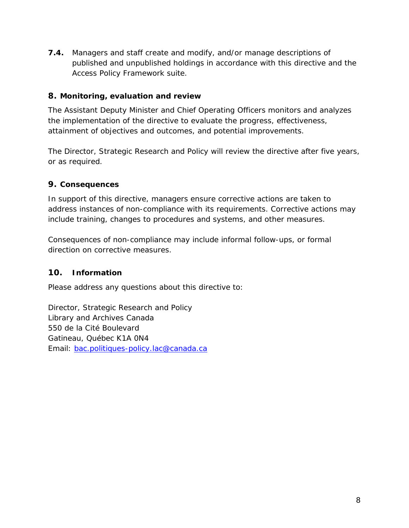**7.4.** Managers and staff create and modify, and/or manage descriptions of published and unpublished holdings in accordance with this directive and the *Access Policy Framework* suite.

#### **8. Monitoring, evaluation and review**

The Assistant Deputy Minister and Chief Operating Officers monitors and analyzes the implementation of the directive to evaluate the progress, effectiveness, attainment of objectives and outcomes, and potential improvements.

The Director, Strategic Research and Policy will review the directive after five years, or as required.

#### **9. Consequences**

In support of this directive, managers ensure corrective actions are taken to address instances of non-compliance with its requirements. Corrective actions may include training, changes to procedures and systems, and other measures.

Consequences of non-compliance may include informal follow-ups, or formal direction on corrective measures.

#### **10. Information**

Please address any questions about this directive to:

Director, Strategic Research and Policy Library and Archives Canada 550 de la Cité Boulevard Gatineau, Québec K1A 0N4 Email: [bac.politiques-policy.lac@canada.ca](mailto:bac.politiques-policy.lac@canada.ca)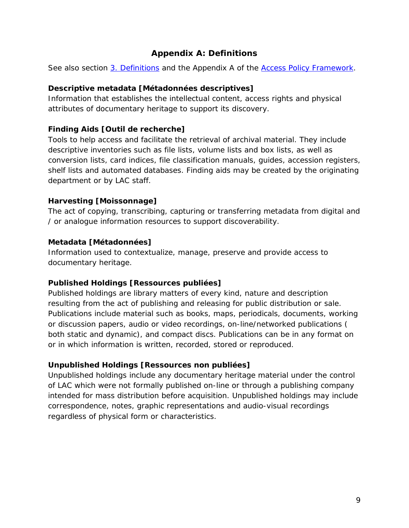#### <span id="page-8-0"></span>**Appendix A: Definitions**

See also section [3. Definitions](#page-1-0) and the Appendix A of the *[Access Policy Framework](http://www.bac-lac.gc.ca/eng/about-us/policy/Pages/access-policy.aspx)*.

#### **Descriptive metadata** *[Métadonnées descriptives]*

Information that establishes the intellectual content, access rights and physical attributes of documentary heritage to support its discovery.

#### **Finding Aids** *[Outil de recherche]*

Tools to help access and facilitate the retrieval of archival material. They include descriptive inventories such as file lists, volume lists and box lists, as well as conversion lists, card indices, file classification manuals, guides, accession registers, shelf lists and automated databases. Finding aids may be created by the originating department or by LAC staff.

#### **Harvesting** *[Moissonnage]*

The act of copying, transcribing, capturing or transferring metadata from digital and / or analogue information resources to support discoverability.

#### **Metadata** *[Métadonnées]*

Information used to contextualize, manage, preserve and provide access to documentary heritage.

#### **Published Holdings** *[***Ressources publiées***]*

Published holdings are library matters of every kind, nature and description resulting from the act of publishing and releasing for public distribution or sale. Publications include material such as books, maps, periodicals, documents, working or discussion papers, audio or video recordings, on-line/networked publications ( both static and dynamic), and compact discs. Publications can be in any format on or in which information is written, recorded, stored or reproduced.

#### **Unpublished Holdings** *[***Ressources non publiées***]*

Unpublished holdings include any documentary heritage material under the control of LAC which were not formally published on-line or through a publishing company intended for mass distribution before acquisition. Unpublished holdings may include correspondence, notes, graphic representations and audio-visual recordings regardless of physical form or characteristics.